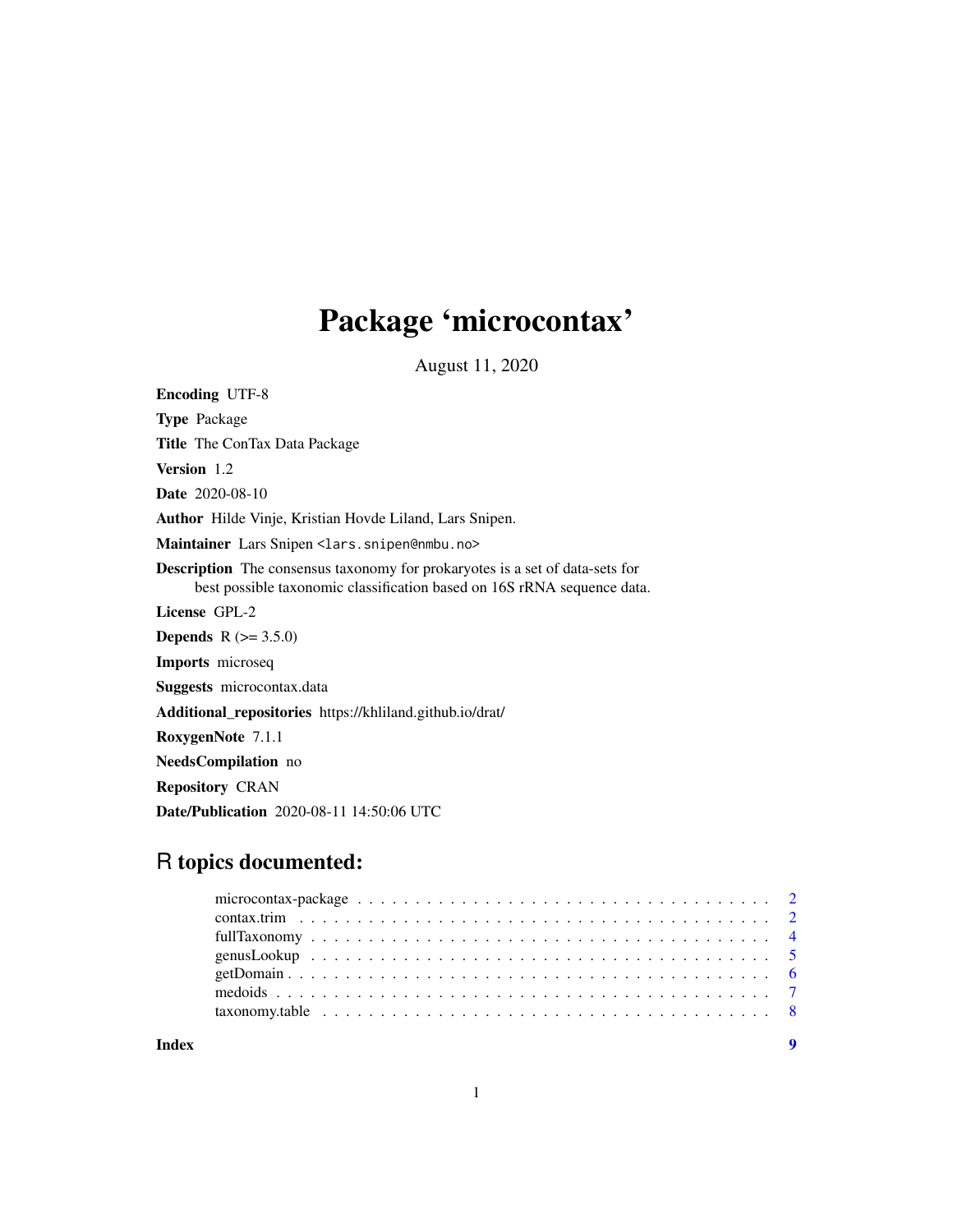## Package 'microcontax'

August 11, 2020

<span id="page-0-0"></span>Encoding UTF-8 Type Package Title The ConTax Data Package Version 1.2 Date 2020-08-10 Author Hilde Vinje, Kristian Hovde Liland, Lars Snipen. Maintainer Lars Snipen <lars.snipen@nmbu.no> Description The consensus taxonomy for prokaryotes is a set of data-sets for best possible taxonomic classification based on 16S rRNA sequence data. License GPL-2 **Depends** R  $(>= 3.5.0)$ Imports microseq Suggests microcontax.data Additional\_repositories https://khliland.github.io/drat/ RoxygenNote 7.1.1 NeedsCompilation no Repository CRAN Date/Publication 2020-08-11 14:50:06 UTC

### R topics documented:

**Index** [9](#page-8-0)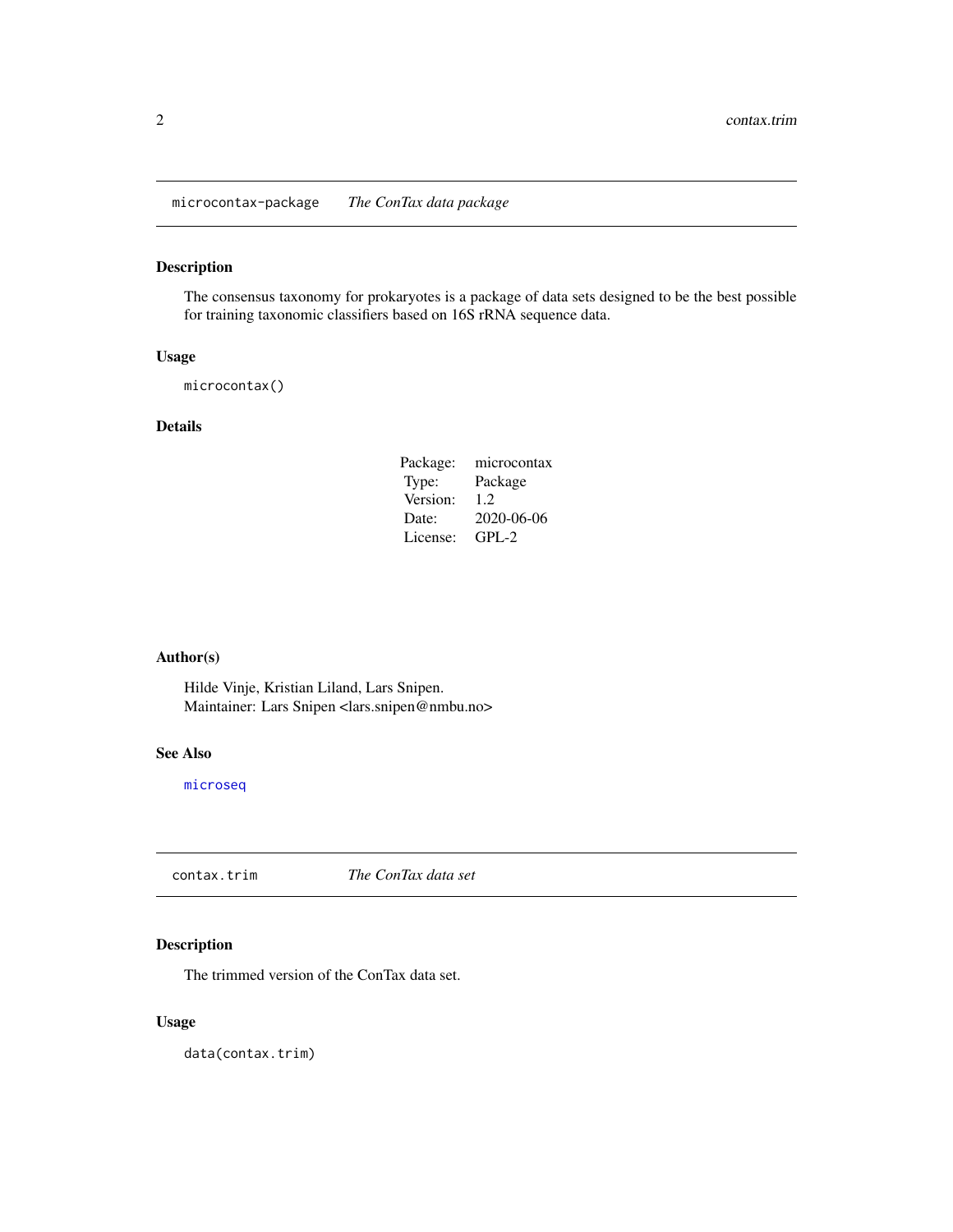<span id="page-1-0"></span>microcontax-package *The ConTax data package*

#### Description

The consensus taxonomy for prokaryotes is a package of data sets designed to be the best possible for training taxonomic classifiers based on 16S rRNA sequence data.

#### Usage

microcontax()

#### Details

| Package: | microcontax |
|----------|-------------|
| Type:    | Package     |
| Version: | 1.2.        |
| Date:    | 2020-06-06  |
| License: | GPL-2       |

#### Author(s)

Hilde Vinje, Kristian Liland, Lars Snipen. Maintainer: Lars Snipen <lars.snipen@nmbu.no>

#### See Also

[microseq](#page-0-0)

<span id="page-1-1"></span>contax.trim *The ConTax data set*

#### Description

The trimmed version of the ConTax data set.

#### Usage

data(contax.trim)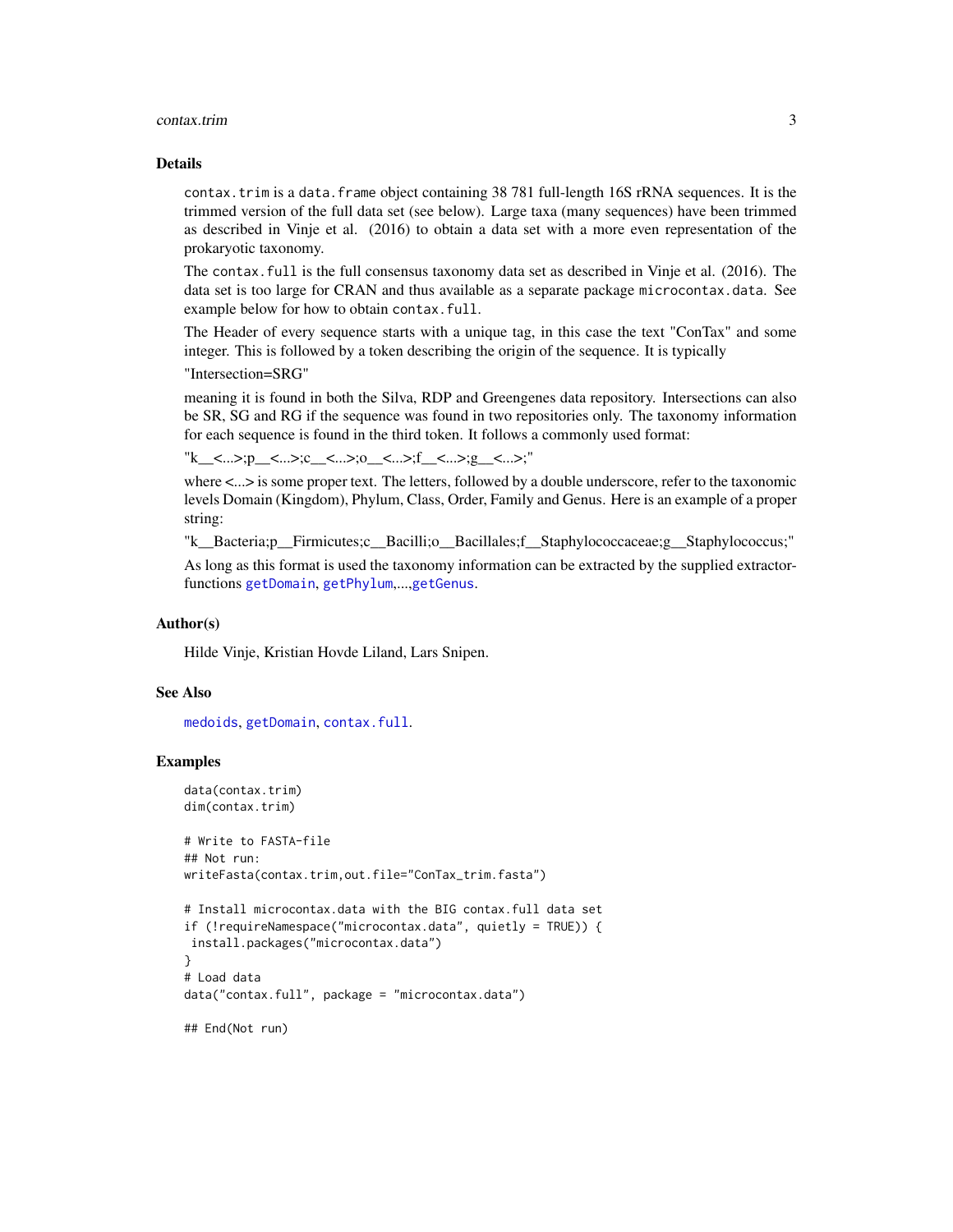#### <span id="page-2-0"></span>contax.trim 3

#### Details

contax.trim is a data.frame object containing 38 781 full-length 16S rRNA sequences. It is the trimmed version of the full data set (see below). Large taxa (many sequences) have been trimmed as described in Vinje et al. (2016) to obtain a data set with a more even representation of the prokaryotic taxonomy.

The contax.full is the full consensus taxonomy data set as described in Vinje et al. (2016). The data set is too large for CRAN and thus available as a separate package microcontax.data. See example below for how to obtain contax.full.

The Header of every sequence starts with a unique tag, in this case the text "ConTax" and some integer. This is followed by a token describing the origin of the sequence. It is typically

"Intersection=SRG"

meaning it is found in both the Silva, RDP and Greengenes data repository. Intersections can also be SR, SG and RG if the sequence was found in two repositories only. The taxonomy information for each sequence is found in the third token. It follows a commonly used format:

```
"k_<...>;p_<...>;c_<...>;o_<...>;f_<...>;g_<...>;"
```
where  $\lt$ ... is some proper text. The letters, followed by a double underscore, refer to the taxonomic levels Domain (Kingdom), Phylum, Class, Order, Family and Genus. Here is an example of a proper string:

"k\_\_Bacteria;p\_\_Firmicutes;c\_\_Bacilli;o\_\_Bacillales;f\_\_Staphylococcaceae;g\_\_Staphylococcus;"

As long as this format is used the taxonomy information can be extracted by the supplied extractorfunctions [getDomain](#page-5-1), [getPhylum](#page-5-2),...,[getGenus](#page-5-2).

#### Author(s)

Hilde Vinje, Kristian Hovde Liland, Lars Snipen.

#### See Also

[medoids](#page-6-1), [getDomain](#page-5-1), [contax.full](#page-0-0).

#### Examples

```
data(contax.trim)
dim(contax.trim)
```

```
# Write to FASTA-file
## Not run:
writeFasta(contax.trim,out.file="ConTax_trim.fasta")
```

```
# Install microcontax.data with the BIG contax.full data set
if (!requireNamespace("microcontax.data", quietly = TRUE)) {
install.packages("microcontax.data")
}
# Load data
data("contax.full", package = "microcontax.data")
```
## End(Not run)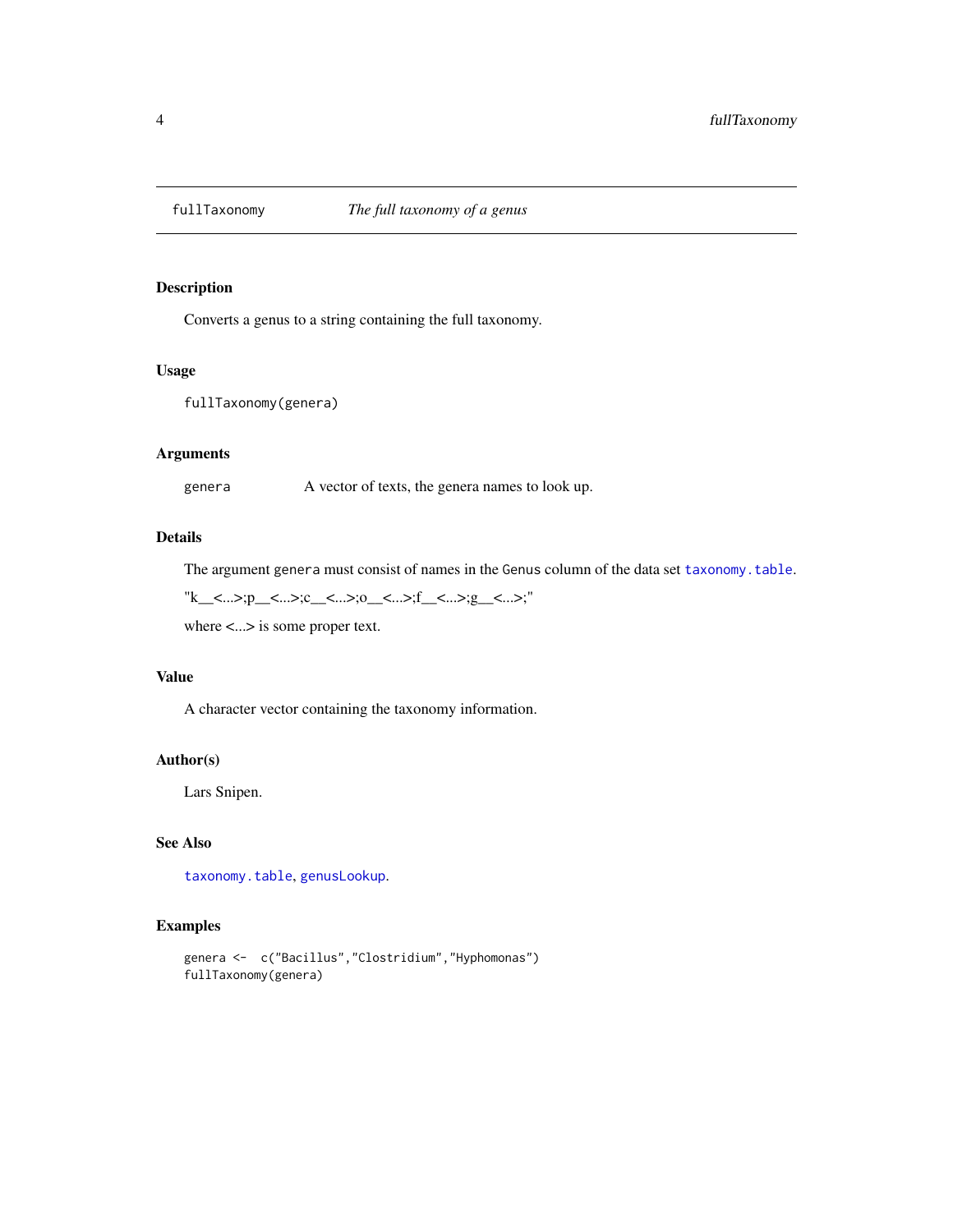<span id="page-3-0"></span>

Converts a genus to a string containing the full taxonomy.

#### Usage

```
fullTaxonomy(genera)
```
#### Arguments

genera A vector of texts, the genera names to look up.

#### Details

The argument genera must consist of names in the Genus column of the data set [taxonomy.table](#page-7-1).

"k\_<...>;p\_<...>;c\_<...>;o\_<...>;f\_<...>;g\_<...>;"

where <...> is some proper text.

#### Value

A character vector containing the taxonomy information.

#### Author(s)

Lars Snipen.

#### See Also

[taxonomy.table](#page-7-1), [genusLookup](#page-4-1).

#### Examples

```
genera <- c("Bacillus","Clostridium","Hyphomonas")
fullTaxonomy(genera)
```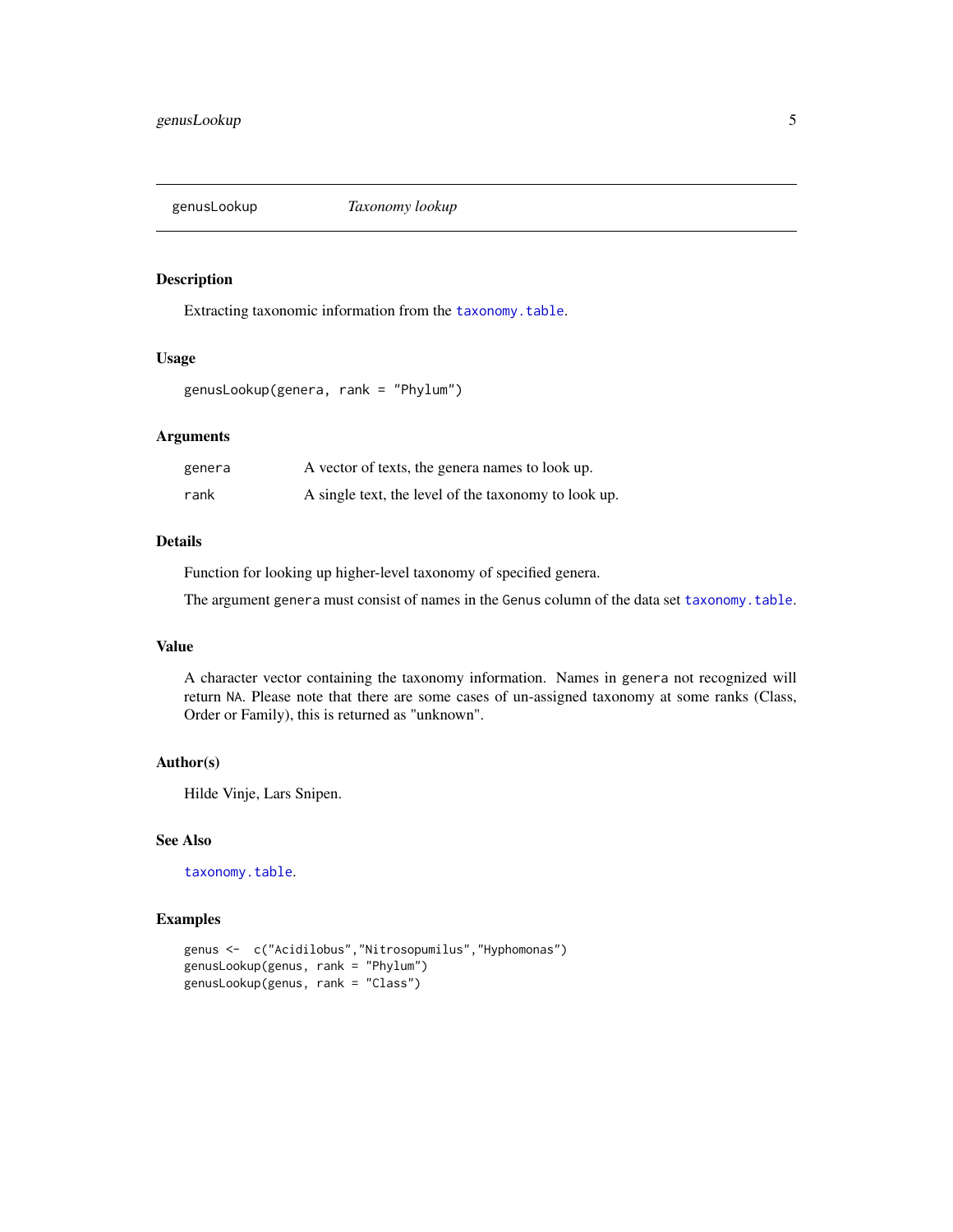<span id="page-4-1"></span><span id="page-4-0"></span>

Extracting taxonomic information from the [taxonomy.table](#page-7-1).

#### Usage

genusLookup(genera, rank = "Phylum")

#### Arguments

| genera | A vector of texts, the genera names to look up.      |
|--------|------------------------------------------------------|
| rank   | A single text, the level of the taxonomy to look up. |

#### Details

Function for looking up higher-level taxonomy of specified genera.

The argument genera must consist of names in the Genus column of the data set [taxonomy.table](#page-7-1).

#### Value

A character vector containing the taxonomy information. Names in genera not recognized will return NA. Please note that there are some cases of un-assigned taxonomy at some ranks (Class, Order or Family), this is returned as "unknown".

#### Author(s)

Hilde Vinje, Lars Snipen.

#### See Also

[taxonomy.table](#page-7-1).

#### Examples

```
genus <- c("Acidilobus","Nitrosopumilus","Hyphomonas")
genusLookup(genus, rank = "Phylum")
genusLookup(genus, rank = "Class")
```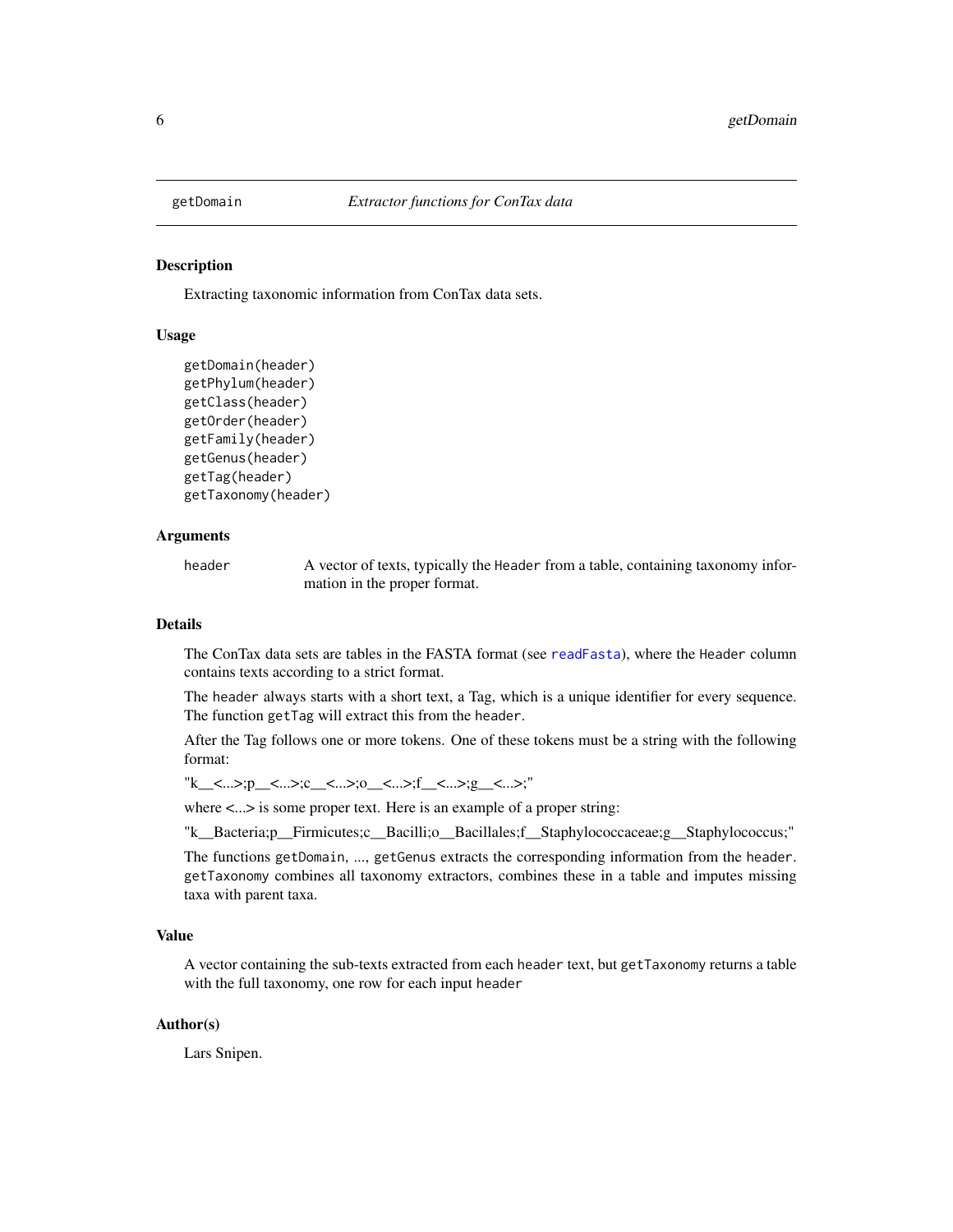<span id="page-5-2"></span><span id="page-5-1"></span><span id="page-5-0"></span>

Extracting taxonomic information from ConTax data sets.

#### Usage

```
getDomain(header)
getPhylum(header)
getClass(header)
getOrder(header)
getFamily(header)
getGenus(header)
getTag(header)
getTaxonomy(header)
```
#### Arguments

header A vector of texts, typically the Header from a table, containing taxonomy information in the proper format.

#### Details

The ConTax data sets are tables in the FASTA format (see [readFasta](#page-0-0)), where the Header column contains texts according to a strict format.

The header always starts with a short text, a Tag, which is a unique identifier for every sequence. The function getTag will extract this from the header.

After the Tag follows one or more tokens. One of these tokens must be a string with the following format:

"k\_\_<...>;p\_\_<...>;c\_\_<...>;o\_\_<...>;f\_\_<...>;g\_\_<...>;"

where  $\langle \dots \rangle$  is some proper text. Here is an example of a proper string:

"k\_\_Bacteria;p\_\_Firmicutes;c\_\_Bacilli;o\_\_Bacillales;f\_\_Staphylococcaceae;g\_\_Staphylococcus;"

The functions getDomain, ..., getGenus extracts the corresponding information from the header. getTaxonomy combines all taxonomy extractors, combines these in a table and imputes missing taxa with parent taxa.

#### Value

A vector containing the sub-texts extracted from each header text, but getTaxonomy returns a table with the full taxonomy, one row for each input header

#### Author(s)

Lars Snipen.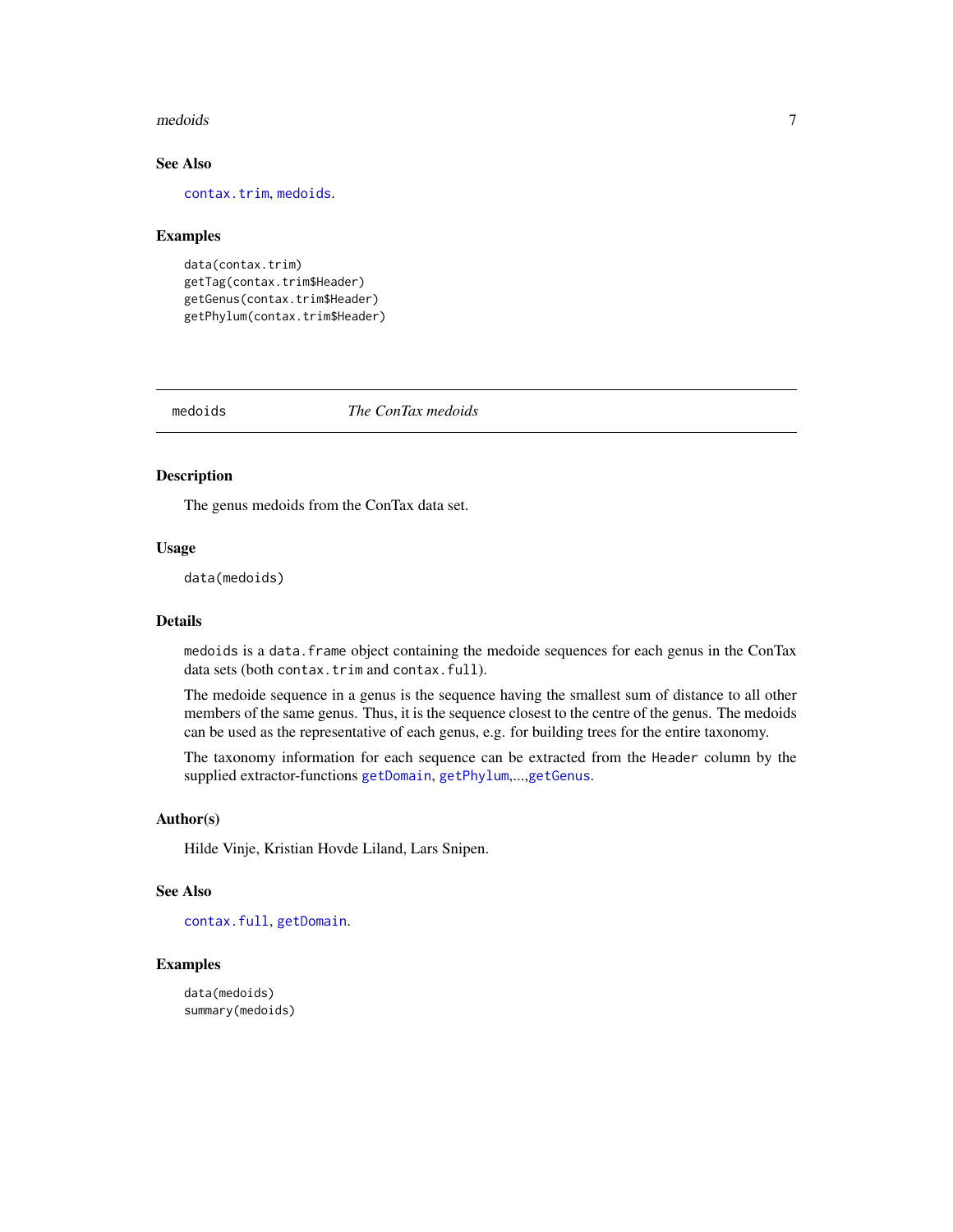#### <span id="page-6-0"></span>medoids **7**

#### See Also

[contax.trim](#page-1-1), [medoids](#page-6-1).

#### Examples

```
data(contax.trim)
getTag(contax.trim$Header)
getGenus(contax.trim$Header)
getPhylum(contax.trim$Header)
```
<span id="page-6-1"></span>medoids *The ConTax medoids*

#### Description

The genus medoids from the ConTax data set.

#### Usage

data(medoids)

#### Details

medoids is a data.frame object containing the medoide sequences for each genus in the ConTax data sets (both contax.trim and contax.full).

The medoide sequence in a genus is the sequence having the smallest sum of distance to all other members of the same genus. Thus, it is the sequence closest to the centre of the genus. The medoids can be used as the representative of each genus, e.g. for building trees for the entire taxonomy.

The taxonomy information for each sequence can be extracted from the Header column by the supplied extractor-functions [getDomain](#page-5-1), [getPhylum](#page-5-2),...,[getGenus](#page-5-2).

#### Author(s)

Hilde Vinje, Kristian Hovde Liland, Lars Snipen.

#### See Also

[contax.full](#page-0-0), [getDomain](#page-5-1).

#### Examples

data(medoids) summary(medoids)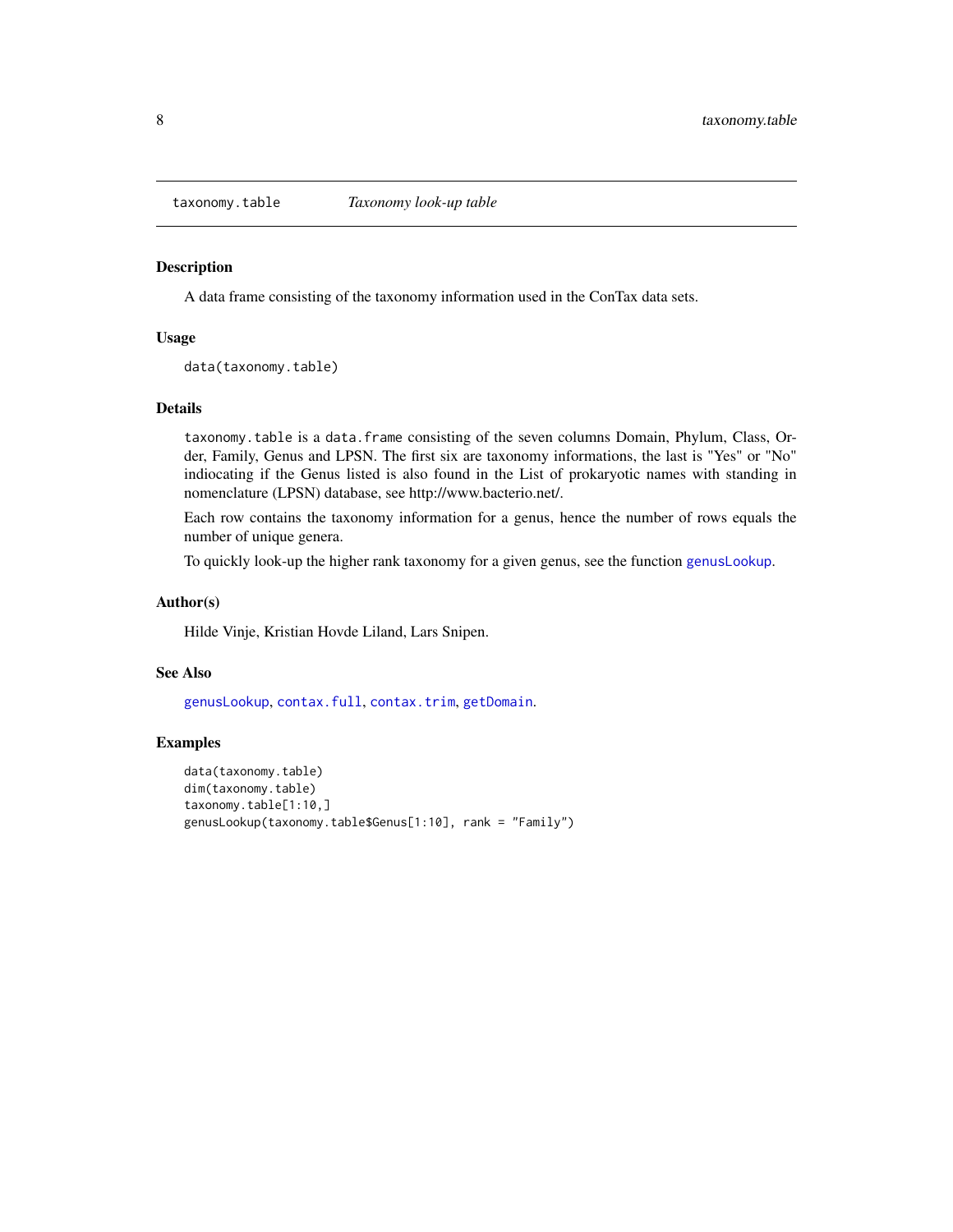<span id="page-7-1"></span><span id="page-7-0"></span>

A data frame consisting of the taxonomy information used in the ConTax data sets.

#### Usage

data(taxonomy.table)

#### Details

taxonomy.table is a data.frame consisting of the seven columns Domain, Phylum, Class, Order, Family, Genus and LPSN. The first six are taxonomy informations, the last is "Yes" or "No" indiocating if the Genus listed is also found in the List of prokaryotic names with standing in nomenclature (LPSN) database, see http://www.bacterio.net/.

Each row contains the taxonomy information for a genus, hence the number of rows equals the number of unique genera.

To quickly look-up the higher rank taxonomy for a given genus, see the function [genusLookup](#page-4-1).

#### Author(s)

Hilde Vinje, Kristian Hovde Liland, Lars Snipen.

#### See Also

[genusLookup](#page-4-1), [contax.full](#page-0-0), [contax.trim](#page-1-1), [getDomain](#page-5-1).

#### Examples

```
data(taxonomy.table)
dim(taxonomy.table)
taxonomy.table[1:10,]
genusLookup(taxonomy.table$Genus[1:10], rank = "Family")
```